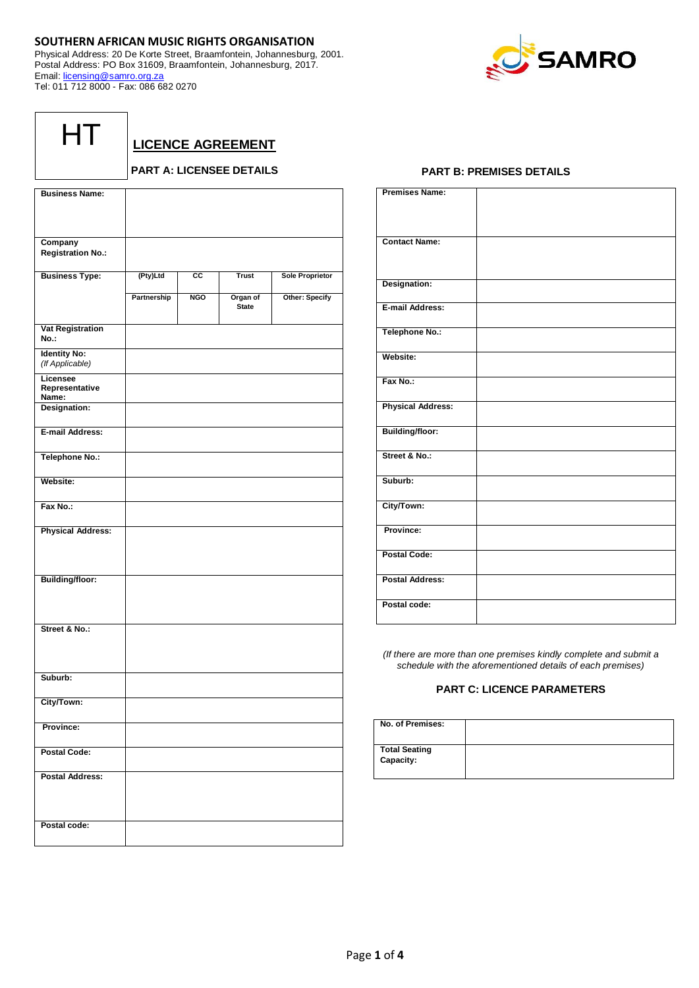# **SOUTHERN AFRICAN MUSIC RIGHTS ORGANISATION**

Physical Address: 20 De Korte Street, Braamfontein, Johannesburg, 2001. Postal Address: PO Box 31609, Braamfontein, Johannesburg, 2017. Email: [licensing@samro.org.za](mailto:licensing@samro.org.za) Tel: 011 712 8000 - Fax: 086 682 0270



| I |  |
|---|--|
|   |  |

**LICENCE AGREEMENT**

# **PART A: LICENSEE DETAILS**

| <b>Business Name:</b>                  |             |            |                          |                        |
|----------------------------------------|-------------|------------|--------------------------|------------------------|
|                                        |             |            |                          |                        |
|                                        |             |            |                          |                        |
| Company                                |             |            |                          |                        |
| <b>Registration No.:</b>               |             |            |                          |                        |
| <b>Business Type:</b>                  | (Pty)Ltd    | СC         | <b>Trust</b>             | <b>Sole Proprietor</b> |
|                                        | Partnership | <b>NGO</b> | Organ of<br><b>State</b> | Other: Specify         |
| <b>Vat Registration</b><br>No.:        |             |            |                          |                        |
| <b>Identity No:</b><br>(If Applicable) |             |            |                          |                        |
| Licensee<br>Representative<br>Name:    |             |            |                          |                        |
| Designation:                           |             |            |                          |                        |
| E-mail Address:                        |             |            |                          |                        |
| <b>Telephone No.:</b>                  |             |            |                          |                        |
| Website:                               |             |            |                          |                        |
| Fax No.:                               |             |            |                          |                        |
| <b>Physical Address:</b>               |             |            |                          |                        |
| <b>Building/floor:</b>                 |             |            |                          |                        |
| Street & No.:                          |             |            |                          |                        |
| Suburb:                                |             |            |                          |                        |
| City/Town:                             |             |            |                          |                        |
| Province:                              |             |            |                          |                        |
| <b>Postal Code:</b>                    |             |            |                          |                        |
| <b>Postal Address:</b>                 |             |            |                          |                        |
| Postal code:                           |             |            |                          |                        |

## **PART B: PREMISES DETAILS**

| <b>Premises Name:</b>    |  |
|--------------------------|--|
|                          |  |
|                          |  |
|                          |  |
|                          |  |
| <b>Contact Name:</b>     |  |
|                          |  |
|                          |  |
|                          |  |
| Designation:             |  |
|                          |  |
| E-mail Address:          |  |
|                          |  |
|                          |  |
| Telephone No.:           |  |
|                          |  |
| Website:                 |  |
|                          |  |
|                          |  |
| Fax No.:                 |  |
|                          |  |
|                          |  |
| <b>Physical Address:</b> |  |
|                          |  |
| <b>Building/floor:</b>   |  |
|                          |  |
| Street & No.:            |  |
|                          |  |
|                          |  |
| Suburb:                  |  |
|                          |  |
|                          |  |
| City/Town:               |  |
|                          |  |
| Province:                |  |
|                          |  |
| <b>Postal Code:</b>      |  |
|                          |  |
|                          |  |
| <b>Postal Address:</b>   |  |
|                          |  |
| Postal code:             |  |
|                          |  |
|                          |  |

*(If there are more than one premises kindly complete and submit a schedule with the aforementioned details of each premises)*

# **PART C: LICENCE PARAMETERS**

| No. of Premises:                  |  |
|-----------------------------------|--|
| <b>Total Seating</b><br>Capacity: |  |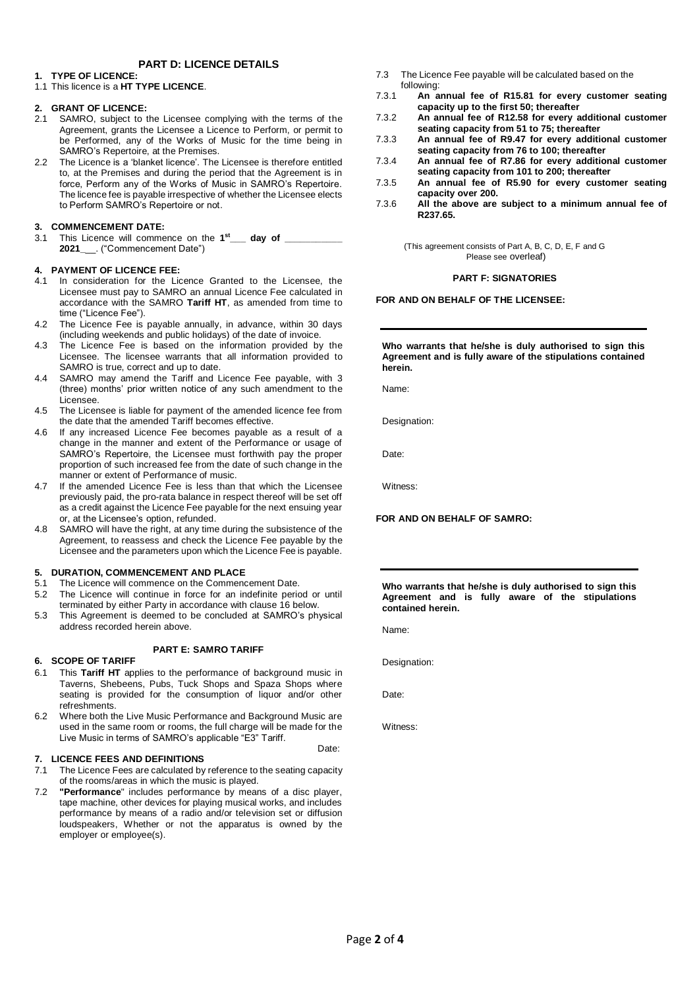# **PART D: LICENCE DETAILS**

## **1. TYPE OF LICENCE:**

1.1 This licence is a **HT TYPE LICENCE**.

## **2. GRANT OF LICENCE:**

- 2.1 SAMRO, subject to the Licensee complying with the terms of the Agreement, grants the Licensee a Licence to Perform, or permit to be Performed, any of the Works of Music for the time being in SAMRO's Repertoire, at the Premises.
- 2.2 The Licence is a 'blanket licence'. The Licensee is therefore entitled to, at the Premises and during the period that the Agreement is in force, Perform any of the Works of Music in SAMRO's Repertoire. The licence fee is payable irrespective of whether the Licensee elects to Perform SAMRO's Repertoire or not.

# **3. COMMENCEMENT DATE:**

3.1 This Licence will commence on the **1 st\_\_\_ day of \_\_\_\_\_\_\_\_\_\_\_ 2021\_**\_\_. ("Commencement Date")

## **4. PAYMENT OF LICENCE FEE:**

- 4.1 In consideration for the Licence Granted to the Licensee, the Licensee must pay to SAMRO an annual Licence Fee calculated in accordance with the SAMRO **Tariff HT**, as amended from time to time ("Licence Fee").
- 4.2 The Licence Fee is payable annually, in advance, within 30 days (including weekends and public holidays) of the date of invoice.
- 4.3 The Licence Fee is based on the information provided by the Licensee. The licensee warrants that all information provided to SAMRO is true, correct and up to date.
- 4.4 SAMRO may amend the Tariff and Licence Fee payable, with 3 (three) months' prior written notice of any such amendment to the Licensee.
- 4.5 The Licensee is liable for payment of the amended licence fee from the date that the amended Tariff becomes effective.
- 4.6 If any increased Licence Fee becomes payable as a result of a change in the manner and extent of the Performance or usage of SAMRO's Repertoire, the Licensee must forthwith pay the proper proportion of such increased fee from the date of such change in the manner or extent of Performance of music.
- 4.7 If the amended Licence Fee is less than that which the Licensee previously paid, the pro-rata balance in respect thereof will be set off as a credit against the Licence Fee payable for the next ensuing year or, at the Licensee's option, refunded.
- 4.8 SAMRO will have the right, at any time during the subsistence of the Agreement, to reassess and check the Licence Fee payable by the Licensee and the parameters upon which the Licence Fee is payable.

## **5. DURATION, COMMENCEMENT AND PLACE**

- 5.1 The Licence will commence on the Commencement Date.
- 5.2 The Licence will continue in force for an indefinite period or until terminated by either Party in accordance with clause 16 below.
- 5.3 This Agreement is deemed to be concluded at SAMRO's physical address recorded herein above.

## **PART E: SAMRO TARIFF**

## **6. SCOPE OF TARIFF**

- 6.1 This **Tariff HT** applies to the performance of background music in Taverns, Shebeens, Pubs, Tuck Shops and Spaza Shops where seating is provided for the consumption of liquor and/or other refreshments.
- 6.2 Where both the Live Music Performance and Background Music are used in the same room or rooms, the full charge will be made for the Live Music in terms of SAMRO's applicable "E3" Tariff.

## **7. LICENCE FEES AND DEFINITIONS**

- 7.1 The Licence Fees are calculated by reference to the seating capacity of the rooms/areas in which the music is played.
- 7.2 **"Performance**" includes performance by means of a disc player, tape machine, other devices for playing musical works, and includes performance by means of a radio and/or television set or diffusion loudspeakers, Whether or not the apparatus is owned by the employer or employee(s).
- 7.3 The Licence Fee payable will be calculated based on the following:
- 7.3.1 **An annual fee of R15.81 for every customer seating capacity up to the first 50; thereafter**
- 7.3.2 **An annual fee of R12.58 for every additional customer seating capacity from 51 to 75; thereafter**
- 7.3.3 **An annual fee of R9.47 for every additional customer seating capacity from 76 to 100; thereafter**
- 7.3.4 **An annual fee of R7.86 for every additional customer seating capacity from 101 to 200; thereafter**
- 7.3.5 **An annual fee of R5.90 for every customer seating capacity over 200.**
- 7.3.6 **All the above are subject to a minimum annual fee of R237.65.**

(This agreement consists of Part A, B, C, D, E, F and G Please see overleaf)

## **PART F: SIGNATORIES**

## **FOR AND ON BEHALF OF THE LICENSEE:**

**Who warrants that he/she is duly authorised to sign this Agreement and is fully aware of the stipulations contained herein.**

Name:

Designation:

Date:

Witness:

**FOR AND ON BEHALF OF SAMRO:** 

**Who warrants that he/she is duly authorised to sign this Agreement and is fully aware of the stipulations contained herein.**

Name:

Designation:

Date:

Date:

Witness: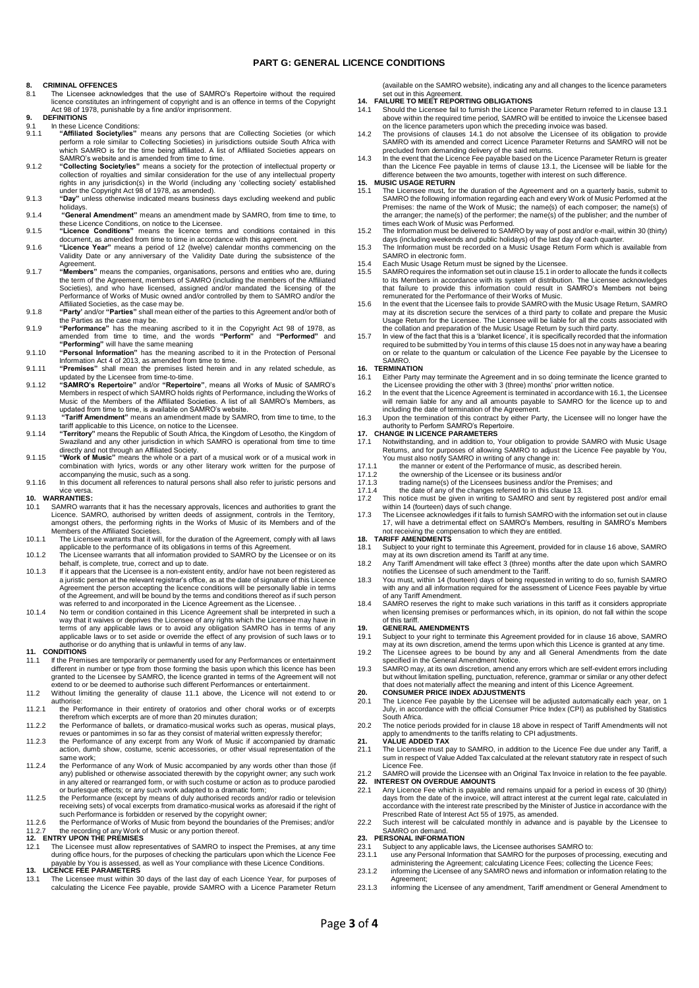## **PART G: GENERAL LICENCE CONDITIONS**

### **8. CRIMINAL OFFENCES**

- 8.1 The Licensee acknowledges that the use of SAMRO's Repertoire without the required licence constitutes an infringement of copyright and is an offence in terms of the Copyright Act 98 of 1978, punishable by a fine and/or imprisonment.
- **9. DEFINITIONS**
- 9.1 In these Licence Conditions:<br>9.1. **Conditional Conditions** 9.1.1 "Affiliated Society/ies" means any persons that are Collecting Societies (or which perform a role similar to Collecting Societies) in jurisdictions outside South Africa with which SAMRO is for the time being affiliat
- 9.1.2 **"Collecting Society/ies"** means a society for the protection of intellectual property or collection of royalties and similar consideration for the use of any intellectual property rights in any jurisdiction(s) in the World (including any 'collecting society' established under the Copyright Act 98 of 1978, as amended).
- 9.1.3 **"Day"** unless otherwise indicated means business days excluding weekend and public holidays. 9.1.4 **"General Amendment"** means an amendment made by SAMRO, from time to time, to
- these Licence Conditions, on notice to the Licensee. 9.1.5 **"Licence Conditions"** means the licence terms and conditions contained in this
- 
- document, as amended from time to time in accordance with this agreement. 9.1.6 **"Licence Year"** means a period of 12 (twelve) calendar months commencing on the Validity Date or any anniversary of the Validity Date during the subsistence of the
- Agreement.<br>9.1.7 **"Members**" means the companies, organisations, persons and entities who are, during<br>the term of the Agreement, members of SAMRO (including the members of the Affiliated Societies), and who have licensed, assigned and/or mandated the licensing of the Performance of Works of Music owned and/or controlled by them to SAMRO and/or the Affiliated Societies, as the case may be.
- 9.1.8 **"Party'** and/or **"Parties"** shall mean either of the parties to this Agreement and/or both of the Parties as the case may be.
- 9.1.9 **"Performance"** has the meaning ascribed to it in the Copyright Act 98 of 1978, as amended from time to time, and the words **"Perform"** and **"Performed"** and **"Performing"** will have the same meaning
- 9.1.10 **"Personal Information"** has the meaning ascribed to it in the Protection of Personal Information Act 4 of 2013, as amended from time to time. 9.1.11 **"Premises"** shall mean the premises listed herein and in any related schedule, as
- 
- updated by the Licensee from time-to-time.<br>9.1.12 "SAMRO's Repertoire" and/or "Repertoire", means all Works of Music of SAMRO's<br>Members in respect of which SAMRO holds rights of Performance, including the Works of<br>Music of
- 9.1.13 **"Tariff Amendment"** means an amendment made by SAMRO, from time to time, to the tariff applicable to this Licence, on notice to the Licensee.
- 9.1.14 **"Territory"** means the Republic of South Africa, the Kingdom of Lesotho, the Kingdom of Swaziland and any other jurisdiction in which SAMRO is operational from time to time directly and not through an Affiliated Society. 9.1.15 **"Work of Music"** means the whole or a part of a musical work or of a musical work in
- combination with lyrics, words or any other literary work written for the purpose of accompanying the music, such as a song. 9.1.16 In this document all references to natural persons shall also refer to juristic persons and
- 

# vice versa. **10. WARRANTIES:**

- 10.1 SAMRO warrants that it has the necessary approvals, licences and authorities to grant the Licence. SAMRO, authorised by written deeds of assignment, controls in the Territory, amongst others, the performing rights in
- 10.1.1 The Licensee warrants that it will, for the duration of the Agreement, comply with all laws applicable to the performance of its obligations in terms of this Agreement.
- 10.1.2 The Licensee warrants that all information provided to SAMRO by the Licensee or on its behalf, is complete, true, correct and up to date.
- 10.1.3 If it appears that the Licensee is a non-existent entity, and/or have not been registered as a juristic person at the relevant registrar's office, as at the date of signature of this Licence Agreement the person accepting the licence conditions will be personally liable in terms<br>of the Agreement, and will be bound by the terms and conditions thereof as if such person<br>was referred to and incorporated in the Lic
- 10.1.4 No term or condition contained in this Licence Agreement shall be interpreted in such a way that it waives or deprives the Licensee of any rights which the Licensee may have in<br>terms of any applicable laws or to avoid any obligation SAMRO has in terms of any<br>applicable laws or to set aside or override the eff authorise or do anything that is unlawful in terms of any law. **11. CONDITIONS**

- 11.1 If the Premises are temporarily or permanently used for any Performances or entertainment different in number or type from those forming the basis upon which this licence has been granted to the Licensee by SAMRO, the licence granted in terms of the Agreement will not extend to or be deemed to authorise such different Performances or entertainment.
- 11.2 Without limiting the generality of clause 11.1 above, the Licence will not extend to or authorise:
- 11.2.1 the Performance in their entirety of oratorios and other choral works or of excerpts
- therefrom which excerpts are of more than 20 minutes duration; 11.2.2 the Performance of ballets, or dramatico-musical works such as operas, musical plays,
- revues or pantomimes in so far as they consist of material written expressly therefor; 11.2.3 the Performance of any excerpt from any Work of Music if accompanied by dramatic action, dumb show, costume, scenic accessories, or other visual representation of the same work;
- 11.2.4 the Performance of any Work of Music accompanied by any words other than those (if any) published or otherwise associated therewith by the copyright owner; any such work in any altered or rearranged form, or with such costume or action as to produce parodied or burlesque effects; or any such work adapted to a dramatic form;
- 11.2.5 the Performance (except by means of duly authorised records and/or radio or television receiving sets) of vocal excerpts from dramatico-musical works as aforesaid if the right of
- such Performance is forbidden or reserved by the copyright owner;<br>11.2.6 the Performance of Works of Music from beyond the boundaries of the Premises; and/or<br>11.2.7 the recording of any Work of Music or any portion thereof

- during office hours, for the purposes of checking the particulars upon which the Licence Fee payable by You is assessed, as well as Your compliance with these Licence Conditions. **13. LICENCE FEE PARAMETERS**
- 13.1 The Licensee must within 30 days of the last day of each Licence Year, for purposes of calculating the Licence Fee payable, provide SAMRO with a Licence Parameter Return

(available on the SAMRO website), indicating any and all changes to the licence parameters

- set out in this Agreement. **14. FAILURE TO MEET REPORTING OBLIGATIONS**
- 14.1 Should the Licensee fail to furnish the Licence Parameter Return referred to in clause 13.1 above within the required time period, SAMRO will be entitled to invoice the Licensee based on the licence parameters upon which the preceding invoice was based.
- 14.2 The provisions of clauses 14.1 do not absolve the Licensee of its obligation to provide SAMRO with its amended and correct Licence Parameter Returns and SAMRO will not be precluded from demanding delivery of the said returns.
- 14.3 In the event that the Licence Fee payable based on the Licence Parameter Return is greater than the Licence Fee payable in terms of clause 13.1, the Licensee will be liable for the difference between the two amounts, together with interest on such difference. **15. MUSIC USAGE RETURN**

- 15.1 The Licensee must, for the duration of the Agreement and on a quarterly basis, submit to SAMRO the following information regarding each and every Work of Music Performed at the Premises: the name of the Work of Music; the name(s) of each composer; the name(s) of the arranger; the name(s) of the performer; the name(s) of the publisher; and the number of times each Work of Music was Performed. 15.2 The Information must be delivered to SAMRO by way of post and/or e-mail, within 30 (thirty)
- days (including weekends and public holidays) of the last day of each quarter. 15.3 The Information must be recorded on a Music Usage Return Form which is available from
- SAMRO in electronic form.
- 15.4 Each Music Usage Return must be signed by the Licensee.
- 15.5 SAMRO requires the information set out in clause 15.1 in order to allocate the funds it collects to its Members in accordance with its system of distribution. The Licensee acknowledges that failure to provide this information could result in SAMRO's Members not being remunerated for the Performance of their Works of Music.
- 15.6 In the event that the Licensee fails to provide SAMRO with the Music Usage Return, SAMRO<br>may at its discretion secure the services of a third party to collate and prepare the Music<br>Usage Return for the Licensee. The L the collation and preparation of the Music Usage Return by such third party.
- 15.7 In view of the fact that this is a 'blanket licence', it is specifically recorded that the information required to be submitted by You in terms of this clause 15 does not in any way have a bearing on or relate to the quantum or calculation of the Licence Fee payable by the Licensee to SAMRO.

- **16. TERMINATION**<br>**16.1** Either Party r 16.1 Either Party may terminate the Agreement and in so doing terminate the licence granted to<br>the Licensee providing the other with 3 (three) months' prior written notice.<br>In the event that the Licence Agreement is termin
- will remain liable for any and all amounts payable to SAMRO for the licence up to and including the date of termination of the Agreement.
- 16.3 Upon the termination of this contract by either Party, the Licensee will no longer have the authority to Perform SAMRO's Repertoire.

# **17. CHANGE IN LICENCE PARAMETERS**<br>17.1 Notwithstanding and in addition to

- 17.1 Notwithstanding, and in addition to, Your obligation to provide SAMRO with Music Usage Returns, and for purposes of allowing SAMRO to adjust the Licence Fee payable by You, You must also notify SAMRO in writing of any change in:
- 
- 17.1.1 the manner or extent of the Performance of music, as described herein. 17.1.2 the ownership of the Licensee or its business and/or
- 
- 17.1.3 trading name(s) of the Licensees business and/or the Premises; and 17.1.4 the date of any of the changes referred to in this clause 13.
- This notice must be given in writing to SAMRO and sent by registered post and/or email<br>writhin 14 (fourteen) days of such change.<br>The Licensee acknowledges if it fails to furnish SAMRO with the information set out in claus
- 17, will have a detrimental effect on SAMRO's Members, resulting in SAMRO's Members not receiving the compensation to which they are entitled.

### **18. TARIFF AMENDMENTS**

- 18.1 Subject to your right to terminate this Agreement, provided for in clause 16 above, SAMRO may at its own discretion amend its Tariff at any time. 18.2 Any Tariff Amendment will take effect 3 (three) months after the date upon which SAMRO
- notifies the Licensee of such amendment to the Tariff. 18.3 You must, within 14 (fourteen) days of being requested in writing to do so, furnish SAMRO
- with any and all information required for the assessment of Licence Fees payable by virtue
- of any Tariff Amendment. 18.4 SAMRO reserves the right to make such variations in this tariff as it considers appropriate when licensing premises or performances which, in its opinion, do not fall within the scope of this tariff.

- **19. GENERAL AMENDMENTS**<br>19.1 Subject to your right to term 19.1 Subject to your right to terminate this Agreement provided for in clause 16 above, SAMRO
- may at its own discretion, amend the terms upon which this Licence is granted at any time. 19.2 The Licensee agrees to be bound by any and all General Amendments from the date specified in the General Amendment Notice.
- 19.3 SAMRO may, at its own discretion, amend any errors which are self-evident errors including but without limitation spelling, punctuation, reference, grammar or similar or any other defect<br>that does not materially affect the meaning and intent of this Licence Agreement.<br>20. CONSUMER PRICE INDEX ADJUSTMENTS

- 20.1 The Licence Fee payable by the Licensee will be adjusted automatically each year, on 1 July, in accordance with the official Consumer Price Index (CPI) as published by Statistics South Africa.
- 20.2 The notice periods provided for in clause 18 above in respect of Tariff Amendments will not apply to amendments to the tariffs relating to CPI adjustments. **21. VALUE ADDED TAX**

# 21.1 The Licensee must pay to SAMRO, in addition to the Licence Fee due under any Tariff, a sum in respect of Value Added Tax calculated at the relevant statutory rate in respect of such

- Licence Fee. 21.2 SAMRO will provide the Licensee with an Original Tax Invoice in relation to the fee payable. **22. INTEREST ON OVERDUE AMOUNTS**
- 22.1 Any Licence Fee which is payable and remains unpaid for a period in excess of 30 (thirty) days from the date of the invoice, will attract interest at the current legal rate, calculated in accordance with the interest rate prescribed by the Minister of Justice in accordance with the Prescribed Rate of Interest Act 55 of 1975, as amended.
- 22.2 Such interest will be calculated monthly in advance and is payable by the Licensee to SAMRO on demand.

# **23. PERSONAL INFORMATION**

- 23.1 Subject to any applicable laws, the Licensee authorises SAMRO to:<br>23.1 Subject to any applicable laws, the Licensee authorises SAMRO to:
- 23.1.1 use any Personal Information that SAMRO for the purposes of processing, executing and<br>administering the Agreement; calculating Licence Fees; collecting the Licence Fees;<br>23.1.2 informing the Licensee of any SAMRO ne Agreement;
- 23.1.3 informing the Licensee of any amendment, Tariff amendment or General Amendment to